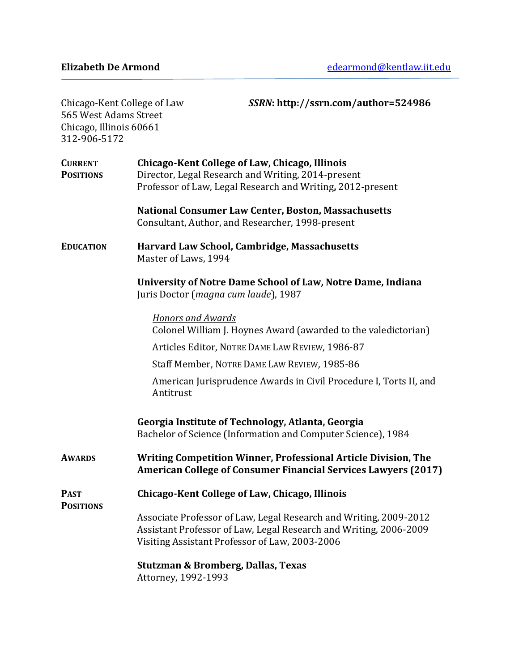| Chicago-Kent College of Law<br>565 West Adams Street<br>Chicago, Illinois 60661<br>312-906-5172 | SSRN: http://ssrn.com/author=524986                                                                                                                                                      |
|-------------------------------------------------------------------------------------------------|------------------------------------------------------------------------------------------------------------------------------------------------------------------------------------------|
| <b>CURRENT</b><br><b>POSITIONS</b>                                                              | Chicago-Kent College of Law, Chicago, Illinois<br>Director, Legal Research and Writing, 2014-present<br>Professor of Law, Legal Research and Writing, 2012-present                       |
|                                                                                                 | <b>National Consumer Law Center, Boston, Massachusetts</b><br>Consultant, Author, and Researcher, 1998-present                                                                           |
| <b>EDUCATION</b>                                                                                | Harvard Law School, Cambridge, Massachusetts<br>Master of Laws, 1994                                                                                                                     |
|                                                                                                 | University of Notre Dame School of Law, Notre Dame, Indiana<br>Juris Doctor (magna cum laude), 1987                                                                                      |
|                                                                                                 | <b>Honors and Awards</b><br>Colonel William J. Hoynes Award (awarded to the valedictorian)                                                                                               |
|                                                                                                 | Articles Editor, NOTRE DAME LAW REVIEW, 1986-87                                                                                                                                          |
|                                                                                                 | Staff Member, NOTRE DAME LAW REVIEW, 1985-86                                                                                                                                             |
|                                                                                                 | American Jurisprudence Awards in Civil Procedure I, Torts II, and<br>Antitrust                                                                                                           |
|                                                                                                 | Georgia Institute of Technology, Atlanta, Georgia<br>Bachelor of Science (Information and Computer Science), 1984                                                                        |
| <b>AWARDS</b>                                                                                   | <b>Writing Competition Winner, Professional Article Division, The</b><br><b>American College of Consumer Financial Services Lawyers (2017)</b>                                           |
| <b>PAST</b><br><b>POSITIONS</b>                                                                 | Chicago-Kent College of Law, Chicago, Illinois                                                                                                                                           |
|                                                                                                 | Associate Professor of Law, Legal Research and Writing, 2009-2012<br>Assistant Professor of Law, Legal Research and Writing, 2006-2009<br>Visiting Assistant Professor of Law, 2003-2006 |
|                                                                                                 | <b>Stutzman &amp; Bromberg, Dallas, Texas</b><br>Attorney, 1992-1993                                                                                                                     |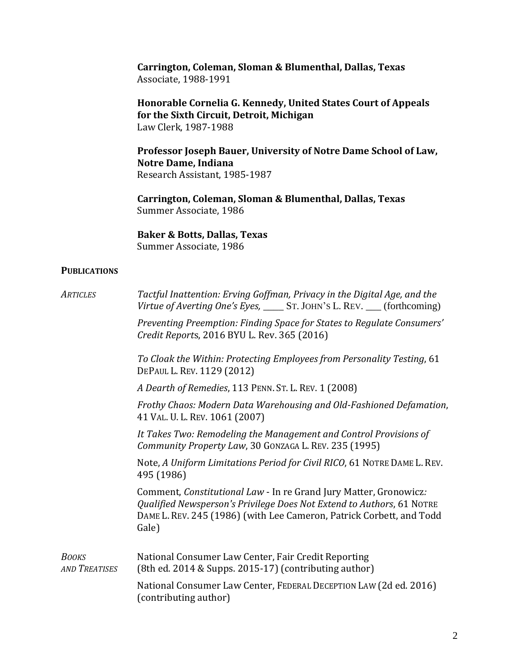**Carrington, Coleman, Sloman & Blumenthal, Dallas, Texas** Associate, 1988-1991

**Honorable Cornelia G. Kennedy, United States Court of Appeals for the Sixth Circuit, Detroit, Michigan** Law Clerk, 1987-1988

**Professor Joseph Bauer, University of Notre Dame School of Law, Notre Dame, Indiana** Research Assistant, 1985-1987

**Carrington, Coleman, Sloman & Blumenthal, Dallas, Texas** Summer Associate, 1986

**Baker & Botts, Dallas, Texas** Summer Associate, 1986

## **PUBLICATIONS**

| <b>ARTICLES</b>                      | Tactful Inattention: Erving Goffman, Privacy in the Digital Age, and the<br>Virtue of Averting One's Eyes, _______ ST. JOHN'S L. REV. ____ (forthcoming)                                                                    |
|--------------------------------------|-----------------------------------------------------------------------------------------------------------------------------------------------------------------------------------------------------------------------------|
|                                      | Preventing Preemption: Finding Space for States to Regulate Consumers'<br>Credit Reports, 2016 BYU L. Rev. 365 (2016)                                                                                                       |
|                                      | To Cloak the Within: Protecting Employees from Personality Testing, 61<br>DEPAUL L. REV. 1129 (2012)                                                                                                                        |
|                                      | A Dearth of Remedies, 113 PENN. ST. L. REV. 1 (2008)                                                                                                                                                                        |
|                                      | Frothy Chaos: Modern Data Warehousing and Old-Fashioned Defamation,<br>41 VAL. U. L. REV. 1061 (2007)                                                                                                                       |
|                                      | It Takes Two: Remodeling the Management and Control Provisions of<br>Community Property Law, 30 GONZAGA L. REV. 235 (1995)                                                                                                  |
|                                      | Note, A Uniform Limitations Period for Civil RICO, 61 NOTRE DAME L. REV.<br>495 (1986)                                                                                                                                      |
|                                      | Comment, Constitutional Law - In re Grand Jury Matter, Gronowicz:<br>Qualified Newsperson's Privilege Does Not Extend to Authors, 61 NOTRE<br>DAME L. REV. 245 (1986) (with Lee Cameron, Patrick Corbett, and Todd<br>Gale) |
| <b>BOOKS</b><br><b>AND TREATISES</b> | National Consumer Law Center, Fair Credit Reporting<br>(8th ed. 2014 & Supps. 2015-17) (contributing author)                                                                                                                |
|                                      | National Consumer Law Center, FEDERAL DECEPTION LAW (2d ed. 2016)<br>(contributing author)                                                                                                                                  |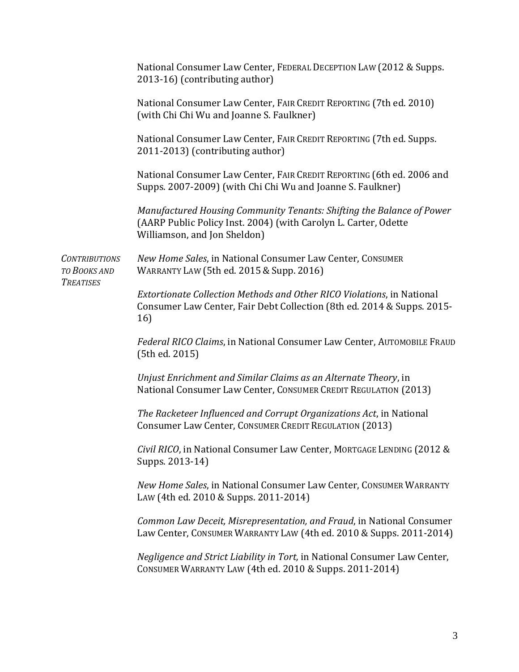|                                                          | National Consumer Law Center, FEDERAL DECEPTION LAW (2012 & Supps.<br>2013-16) (contributing author)                                                                     |
|----------------------------------------------------------|--------------------------------------------------------------------------------------------------------------------------------------------------------------------------|
|                                                          | National Consumer Law Center, FAIR CREDIT REPORTING (7th ed. 2010)<br>(with Chi Chi Wu and Joanne S. Faulkner)                                                           |
|                                                          | National Consumer Law Center, FAIR CREDIT REPORTING (7th ed. Supps.<br>2011-2013) (contributing author)                                                                  |
|                                                          | National Consumer Law Center, FAIR CREDIT REPORTING (6th ed. 2006 and<br>Supps. 2007-2009) (with Chi Chi Wu and Joanne S. Faulkner)                                      |
|                                                          | Manufactured Housing Community Tenants: Shifting the Balance of Power<br>(AARP Public Policy Inst. 2004) (with Carolyn L. Carter, Odette<br>Williamson, and Jon Sheldon) |
| <b>CONTRIBUTIONS</b><br>TO BOOKS AND<br><b>TREATISES</b> | New Home Sales, in National Consumer Law Center, CONSUMER<br><b>WARRANTY LAW (5th ed. 2015 &amp; Supp. 2016)</b>                                                         |
|                                                          | Extortionate Collection Methods and Other RICO Violations, in National<br>Consumer Law Center, Fair Debt Collection (8th ed. 2014 & Supps. 2015-<br>16)                  |
|                                                          | Federal RICO Claims, in National Consumer Law Center, AUTOMOBILE FRAUD<br>(5th ed. 2015)                                                                                 |
|                                                          | Unjust Enrichment and Similar Claims as an Alternate Theory, in<br>National Consumer Law Center, CONSUMER CREDIT REGULATION (2013)                                       |
|                                                          | The Racketeer Influenced and Corrupt Organizations Act, in National<br>Consumer Law Center, CONSUMER CREDIT REGULATION (2013)                                            |
|                                                          | Civil RICO, in National Consumer Law Center, MORTGAGE LENDING (2012 &<br>Supps. 2013-14)                                                                                 |
|                                                          | New Home Sales, in National Consumer Law Center, CONSUMER WARRANTY<br>LAW (4th ed. 2010 & Supps. 2011-2014)                                                              |
|                                                          | Common Law Deceit, Misrepresentation, and Fraud, in National Consumer<br>Law Center, CONSUMER WARRANTY LAW (4th ed. 2010 & Supps. 2011-2014)                             |
|                                                          | Negligence and Strict Liability in Tort, in National Consumer Law Center,<br>CONSUMER WARRANTY LAW (4th ed. 2010 & Supps. 2011-2014)                                     |
|                                                          |                                                                                                                                                                          |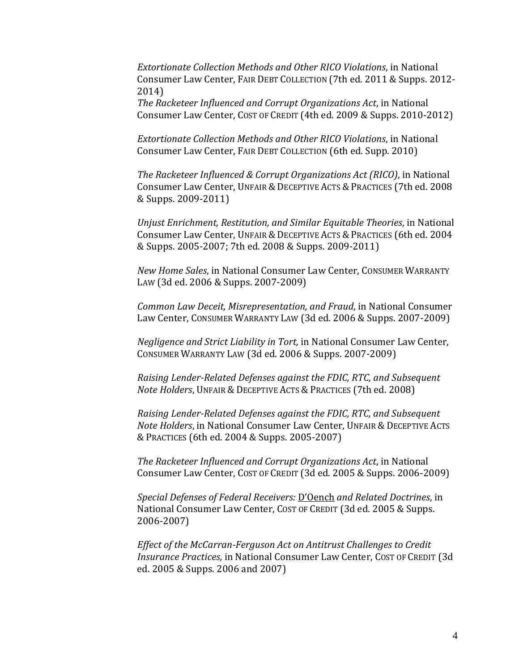*Extortionate Collection Methods and Other RICO Violations*, in National Consumer Law Center, FAIR DEBT COLLECTION (7th ed. 2011 & Supps. 2012- 2014)

*The Racketeer Influenced and Corrupt Organizations Act*, in National Consumer Law Center, COST OF CREDIT (4th ed. 2009 & Supps. 2010-2012)

*Extortionate Collection Methods and Other RICO Violations*, in National Consumer Law Center, FAIR DEBT COLLECTION (6th ed. Supp. 2010)

*The Racketeer Influenced & Corrupt Organizations Act (RICO)*, in National Consumer Law Center, UNFAIR & DECEPTIVE ACTS & PRACTICES (7th ed. 2008) & Supps. 2009-2011)

*Unjust Enrichment, Restitution, and Similar Equitable Theories*, in National Consumer Law Center, UNFAIR & DECEPTIVE ACTS & PRACTICES (6th ed. 2004) & Supps. 2005-2007; 7th ed. 2008 & Supps. 2009-2011)

*New Home Sales*, in National Consumer Law Center, CONSUMER WARRANTY LAW (3d ed. 2006 & Supps. 2007-2009)

*Common Law Deceit, Misrepresentation, and Fraud*, in National Consumer Law Center, CONSUMER WARRANTY LAW (3d ed. 2006 & Supps. 2007-2009)

*Negligence and Strict Liability in Tort,* in National Consumer Law Center, CONSUMER WARRANTY LAW (3d ed. 2006 & Supps. 2007-2009)

*Raising Lender-Related Defenses against the FDIC, RTC, and Subsequent Note Holders*, UNFAIR & DECEPTIVE ACTS & PRACTICES (7th ed. 2008)

*Raising Lender-Related Defenses against the FDIC, RTC, and Subsequent Note Holders*, in National Consumer Law Center, UNFAIR & DECEPTIVE ACTS &PRACTICES (6th ed. 2004 & Supps. 2005-2007)

*The Racketeer Influenced and Corrupt Organizations Act*, in National Consumer Law Center, COST OF CREDIT (3d ed. 2005 & Supps. 2006-2009)

*Special Defenses of Federal Receivers:* D'Oench *and Related Doctrines*, in National Consumer Law Center, COST OF CREDIT (3d ed. 2005 & Supps. 2006-2007)

*Effect of the McCarran-Ferguson Act on Antitrust Challenges to Credit Insurance Practices,* in National Consumer Law Center, COST OF CREDIT (3d ed. 2005 & Supps. 2006 and 2007)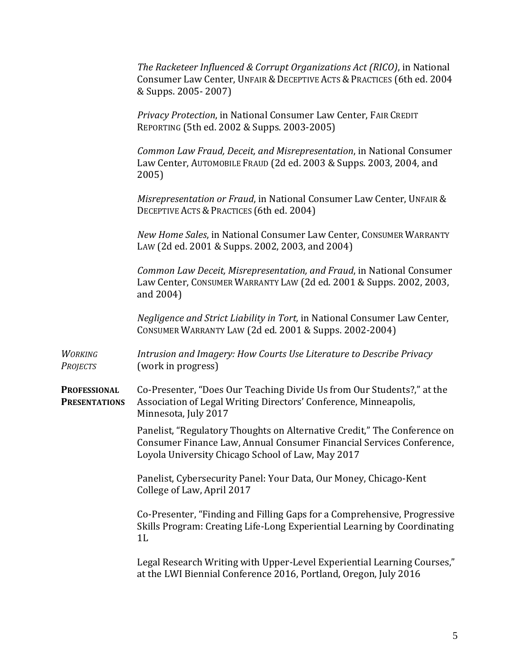*The Racketeer Influenced & Corrupt Organizations Act (RICO)*, in National Consumer Law Center, UNFAIR & DECEPTIVE ACTS & PRACTICES (6th ed. 2004) & Supps. 2005- 2007)

*Privacy Protection*, in National Consumer Law Center, FAIR CREDIT REPORTING (5th ed. 2002 & Supps. 2003-2005)

*Common Law Fraud, Deceit, and Misrepresentation*, in National Consumer Law Center, AUTOMOBILE FRAUD (2d ed. 2003 & Supps. 2003, 2004, and 2005)

*Misrepresentation or Fraud*, in National Consumer Law Center, UNFAIR & DECEPTIVE ACTS & PRACTICES (6th ed. 2004)

*New Home Sales*, in National Consumer Law Center, CONSUMER WARRANTY LAW (2d ed. 2001 & Supps. 2002, 2003, and 2004)

*Common Law Deceit, Misrepresentation, and Fraud*, in National Consumer Law Center, CONSUMER WARRANTY LAW (2d ed. 2001 & Supps. 2002, 2003, and 2004)

*Negligence and Strict Liability in Tort,* in National Consumer Law Center, CONSUMER WARRANTY LAW (2d ed. 2001 & Supps. 2002-2004)

*WORKING Intrusion and Imagery: How Courts Use Literature to Describe Privacy PROJECTS* (work in progress)

**PROFESSIONAL** Co-Presenter, "Does Our Teaching Divide Us from Our Students?," at the **PRESENTATIONS** Association of Legal Writing Directors' Conference, Minneapolis, Minnesota, July 2017

> Panelist, "Regulatory Thoughts on Alternative Credit," The Conference on Consumer Finance Law, Annual Consumer Financial Services Conference, Loyola University Chicago School of Law, May 2017

Panelist, Cybersecurity Panel: Your Data, Our Money, Chicago-Kent College of Law, April 2017

Co-Presenter, "Finding and Filling Gaps for a Comprehensive, Progressive Skills Program: Creating Life-Long Experiential Learning by Coordinating 1L

Legal Research Writing with Upper-Level Experiential Learning Courses," at the LWI Biennial Conference 2016, Portland, Oregon, July 2016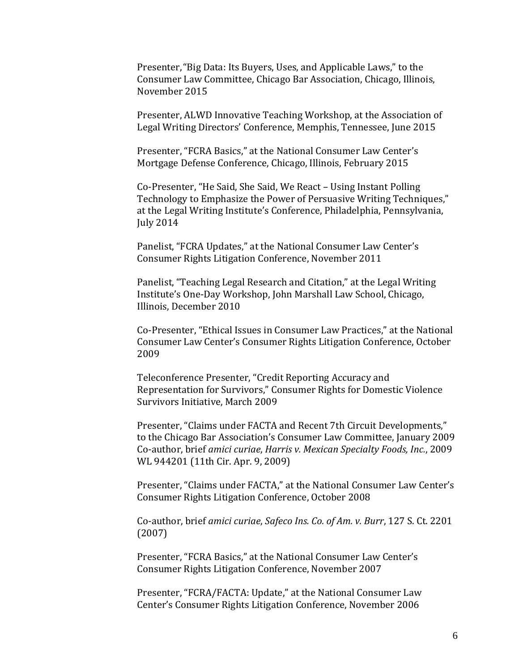Presenter,"Big Data: Its Buyers, Uses, and Applicable Laws," to the Consumer Law Committee, Chicago Bar Association, Chicago, Illinois, November 2015

Presenter, ALWD Innovative Teaching Workshop, at the Association of Legal Writing Directors' Conference, Memphis, Tennessee, June 2015

Presenter, "FCRA Basics," at the National Consumer Law Center's Mortgage Defense Conference, Chicago, Illinois, February 2015

Co-Presenter, "He Said, She Said, We React – Using Instant Polling Technology to Emphasize the Power of Persuasive Writing Techniques," at the Legal Writing Institute's Conference, Philadelphia, Pennsylvania, July 2014

Panelist, "FCRA Updates," at the National Consumer Law Center's Consumer Rights Litigation Conference, November 2011

Panelist, "Teaching Legal Research and Citation," at the Legal Writing Institute's One-Day Workshop, John Marshall Law School, Chicago, Illinois, December 2010

Co-Presenter, "Ethical Issues in Consumer Law Practices," at the National Consumer Law Center's Consumer Rights Litigation Conference, October 2009

Teleconference Presenter, "Credit Reporting Accuracy and Representation for Survivors," Consumer Rights for Domestic Violence Survivors Initiative, March 2009

Presenter, "Claims under FACTA and Recent 7th Circuit Developments," to the Chicago Bar Association's Consumer Law Committee, January 2009 Co-author, brief *amici curiae*, *Harris v. Mexican Specialty Foods, Inc.*, 2009 WL 944201 (11th Cir. Apr. 9, 2009)

Presenter, "Claims under FACTA," at the National Consumer Law Center's Consumer Rights Litigation Conference, October 2008

Co-author, brief *amici curiae*, *Safeco Ins. Co. of Am. v. Burr*, 127 S. Ct. 2201 (2007)

Presenter, "FCRA Basics," at the National Consumer Law Center's Consumer Rights Litigation Conference, November 2007

Presenter, "FCRA/FACTA: Update," at the National Consumer Law Center's Consumer Rights Litigation Conference, November 2006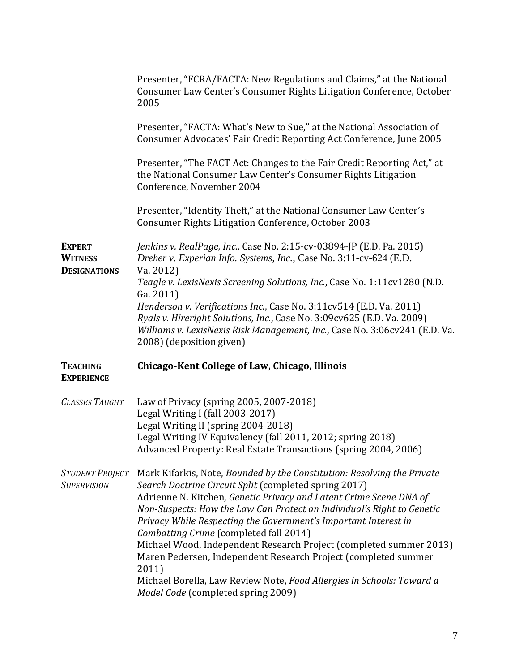|                                                        | Presenter, "FCRA/FACTA: New Regulations and Claims," at the National<br>Consumer Law Center's Consumer Rights Litigation Conference, October<br>2005                                                                                                                 |
|--------------------------------------------------------|----------------------------------------------------------------------------------------------------------------------------------------------------------------------------------------------------------------------------------------------------------------------|
|                                                        | Presenter, "FACTA: What's New to Sue," at the National Association of<br>Consumer Advocates' Fair Credit Reporting Act Conference, June 2005                                                                                                                         |
|                                                        | Presenter, "The FACT Act: Changes to the Fair Credit Reporting Act," at<br>the National Consumer Law Center's Consumer Rights Litigation<br>Conference, November 2004                                                                                                |
|                                                        | Presenter, "Identity Theft," at the National Consumer Law Center's<br>Consumer Rights Litigation Conference, October 2003                                                                                                                                            |
| <b>EXPERT</b><br><b>WITNESS</b><br><b>DESIGNATIONS</b> | Jenkins v. RealPage, Inc., Case No. 2:15-cv-03894-JP (E.D. Pa. 2015)<br>Dreher v. Experian Info. Systems, Inc., Case No. 3:11-cv-624 (E.D.<br>Va. 2012)                                                                                                              |
|                                                        | Teagle v. LexisNexis Screening Solutions, Inc., Case No. 1:11cv1280 (N.D.                                                                                                                                                                                            |
|                                                        | Ga. 2011)<br>Henderson v. Verifications Inc., Case No. 3:11cv514 (E.D. Va. 2011)<br>Ryals v. Hireright Solutions, Inc., Case No. 3:09cv625 (E.D. Va. 2009)<br>Williams v. LexisNexis Risk Management, Inc., Case No. 3:06cv241 (E.D. Va.<br>2008) (deposition given) |
| <b>TEACHING</b><br><b>EXPERIENCE</b>                   | Chicago-Kent College of Law, Chicago, Illinois                                                                                                                                                                                                                       |
|                                                        |                                                                                                                                                                                                                                                                      |
| <b>CLASSES TAUGHT</b>                                  | Law of Privacy (spring 2005, 2007-2018)<br>Legal Writing I (fall 2003-2017)<br>Legal Writing II (spring 2004-2018)<br>Legal Writing IV Equivalency (fall 2011, 2012; spring 2018)<br>Advanced Property: Real Estate Transactions (spring 2004, 2006)                 |